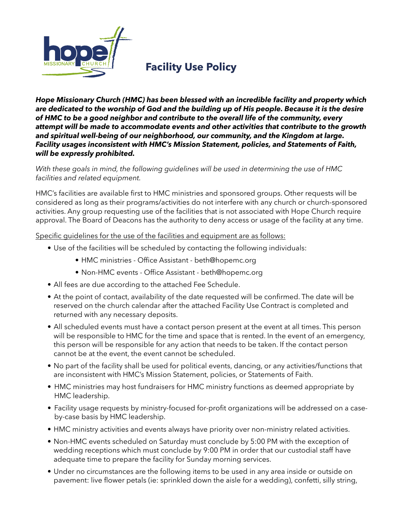

# **Facility Use Policy**

*Hope Missionary Church (HMC) has been blessed with an incredible facility and property which are dedicated to the worship of God and the building up of His people. Because it is the desire of HMC to be a good neighbor and contribute to the overall life of the community, every attempt will be made to accommodate events and other activities that contribute to the growth and spiritual well-being of our neighborhood, our community, and the Kingdom at large. Facility usages inconsistent with HMC's Mission Statement, policies, and Statements of Faith, will be expressly prohibited.* 

*With these goals in mind, the following guidelines will be used in determining the use of HMC facilities and related equipment.* 

HMC's facilities are available first to HMC ministries and sponsored groups. Other requests will be considered as long as their programs/activities do not interfere with any church or church-sponsored activities. Any group requesting use of the facilities that is not associated with Hope Church require approval. The Board of Deacons has the authority to deny access or usage of the facility at any time.

Specific guidelines for the use of the facilities and equipment are as follows:

- Use of the facilities will be scheduled by contacting the following individuals:
	- HMC ministries Office Assistant beth@hopemc.org
	- Non-HMC events Office Assistant beth@hopemc.org
- All fees are due according to the attached Fee Schedule.
- At the point of contact, availability of the date requested will be confirmed. The date will be reserved on the church calendar after the attached Facility Use Contract is completed and returned with any necessary deposits.
- All scheduled events must have a contact person present at the event at all times. This person will be responsible to HMC for the time and space that is rented. In the event of an emergency, this person will be responsible for any action that needs to be taken. If the contact person cannot be at the event, the event cannot be scheduled.
- No part of the facility shall be used for political events, dancing, or any activities/functions that are inconsistent with HMC's Mission Statement, policies, or Statements of Faith.
- HMC ministries may host fundraisers for HMC ministry functions as deemed appropriate by HMC leadership.
- Facility usage requests by ministry-focused for-profit organizations will be addressed on a caseby-case basis by HMC leadership.
- HMC ministry activities and events always have priority over non-ministry related activities.
- Non-HMC events scheduled on Saturday must conclude by 5:00 PM with the exception of wedding receptions which must conclude by 9:00 PM in order that our custodial staff have adequate time to prepare the facility for Sunday morning services.
- Under no circumstances are the following items to be used in any area inside or outside on pavement: live flower petals (ie: sprinkled down the aisle for a wedding), confetti, silly string,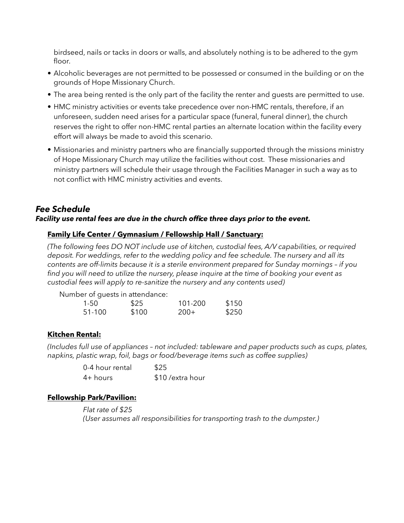birdseed, nails or tacks in doors or walls, and absolutely nothing is to be adhered to the gym floor.

- Alcoholic beverages are not permitted to be possessed or consumed in the building or on the grounds of Hope Missionary Church.
- The area being rented is the only part of the facility the renter and guests are permitted to use.
- HMC ministry activities or events take precedence over non-HMC rentals, therefore, if an unforeseen, sudden need arises for a particular space (funeral, funeral dinner), the church reserves the right to offer non-HMC rental parties an alternate location within the facility every effort will always be made to avoid this scenario.
- Missionaries and ministry partners who are financially supported through the missions ministry of Hope Missionary Church may utilize the facilities without cost. These missionaries and ministry partners will schedule their usage through the Facilities Manager in such a way as to not conflict with HMC ministry activities and events.

## *Fee Schedule Facility use rental fees are due in the church office three days prior to the event.*

### **Family Life Center / Gymnasium / Fellowship Hall / Sanctuary:**

*(The following fees DO NOT include use of kitchen, custodial fees, A/V capabilities, or required deposit. For weddings, refer to the wedding policy and fee schedule. The nursery and all its contents are off-limits because it is a sterile environment prepared for Sunday mornings – if you find you will need to utilize the nursery, please inquire at the time of booking your event as custodial fees will apply to re-sanitize the nursery and any contents used)* 

|        | Number of quests in attendance: |         |       |
|--------|---------------------------------|---------|-------|
| 1-50   | \$25                            | 101-200 | \$150 |
| 51-100 | \$100                           | -200+   | \$250 |

### **Kitchen Rental:**

*(Includes full use of appliances – not included: tableware and paper products such as cups, plates, napkins, plastic wrap, foil, bags or food/beverage items such as coffee supplies)* 

| 0-4 hour rental | \$25              |
|-----------------|-------------------|
| $4+$ hours      | \$10 / extra hour |

### **Fellowship Park/Pavilion:**

 *Flat rate of \$25 (User assumes all responsibilities for transporting trash to the dumpster.)*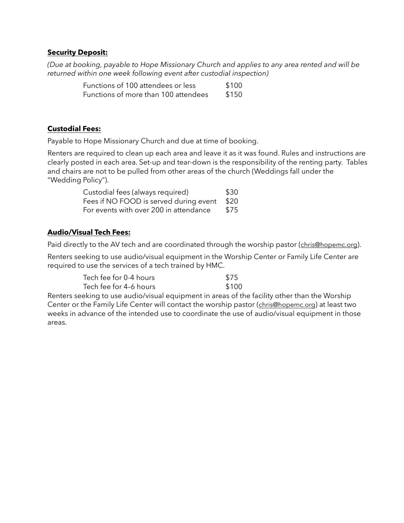#### **Security Deposit:**

*(Due at booking, payable to Hope Missionary Church and applies to any area rented and will be returned within one week following event after custodial inspection)* 

| Functions of 100 attendees or less   | \$100 |
|--------------------------------------|-------|
| Functions of more than 100 attendees | \$150 |

#### **Custodial Fees:**

Payable to Hope Missionary Church and due at time of booking.

Renters are required to clean up each area and leave it as it was found. Rules and instructions are clearly posted in each area. Set-up and tear-down is the responsibility of the renting party. Tables and chairs are not to be pulled from other areas of the church (Weddings fall under the "Wedding Policy").

| Custodial fees (always required)            | \$30 |
|---------------------------------------------|------|
| Fees if NO FOOD is served during event \$20 |      |
| For events with over 200 in attendance      | \$75 |

### **Audio/Visual Tech Fees:**

Paid directly to the AV tech and are coordinated through the worship pastor [\(chris@hopemc.org\)](mailto:chris@hopemc.org).

Renters seeking to use audio/visual equipment in the Worship Center or Family Life Center are required to use the services of a tech trained by HMC.

| Tech fee for 0-4 hours | \$75  |
|------------------------|-------|
| Tech fee for 4-6 hours | \$100 |

Renters seeking to use audio/visual equipment in areas of the facility other than the Worship Center or the Family Life Center will contact the worship pastor [\(chris@hopemc.org](mailto:chris@hopemc.org)) at least two weeks in advance of the intended use to coordinate the use of audio/visual equipment in those areas.